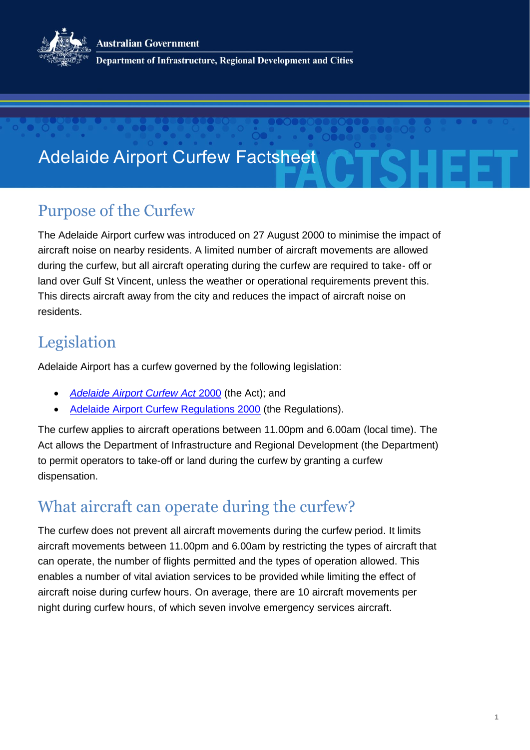**Australian Government** 



Department of Infrastructure, Regional Development and Cities

# Adelaide Airport Curfew Factsheet

### Purpose of the Curfew

The Adelaide Airport curfew was introduced on 27 August 2000 to minimise the impact of aircraft noise on nearby residents. A limited number of aircraft movements are allowed during the curfew, but all aircraft operating during the curfew are required to take- off or land over Gulf St Vincent, unless the weather or operational requirements prevent this. This directs aircraft away from the city and reduces the impact of aircraft noise on residents.

### Legislation

Adelaide Airport has a curfew governed by the following legislation:

- *[Adelaide](https://www.legislation.gov.au/Details/C2004A00621) Airport Curfew Act* 2000 (the Act); and
- [Adelaide Airport Curfew Regulations 2000](https://www.legislation.gov.au/Details/F2015C00016) (the Regulations).

The curfew applies to aircraft operations between 11.00pm and 6.00am (local time). The Act allows the Department of Infrastructure and Regional Development (the Department) to permit operators to take-off or land during the curfew by granting a curfew dispensation.

## What aircraft can operate during the curfew?

The curfew does not prevent all aircraft movements during the curfew period. It limits aircraft movements between 11.00pm and 6.00am by restricting the types of aircraft that can operate, the number of flights permitted and the types of operation allowed. This enables a number of vital aviation services to be provided while limiting the effect of aircraft noise during curfew hours. On average, there are 10 aircraft movements per night during curfew hours, of which seven involve emergency services aircraft.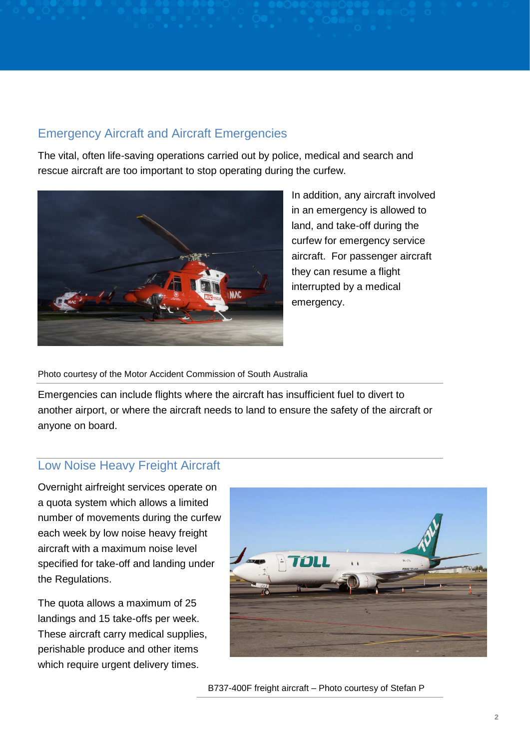#### Emergency Aircraft and Aircraft Emergencies

The vital, often life-saving operations carried out by police, medical and search and rescue aircraft are too important to stop operating during the curfew.



In addition, any aircraft involved in an emergency is allowed to land, and take-off during the curfew for emergency service aircraft. For passenger aircraft they can resume a flight interrupted by a medical emergency.

Photo courtesy of the Motor Accident Commission of South Australia

Emergencies can include flights where the aircraft has insufficient fuel to divert to another airport, or where the aircraft needs to land to ensure the safety of the aircraft or anyone on board.

#### Low Noise Heavy Freight Aircraft

Overnight airfreight services operate on a quota system which allows a limited number of movements during the curfew each week by low noise heavy freight aircraft with a maximum noise level specified for take-off and landing under the Regulations.

The quota allows a maximum of 25 landings and 15 take-offs per week. These aircraft carry medical supplies, perishable produce and other items which require urgent delivery times.



B737-400F freight aircraft – Photo courtesy of Stefan P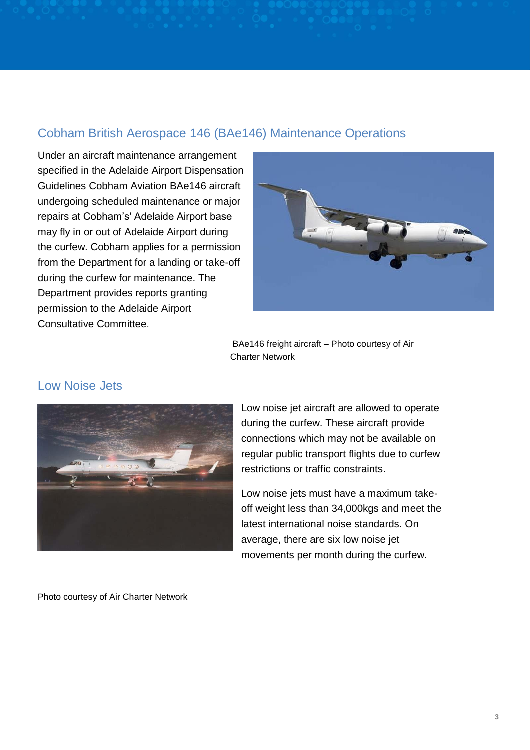#### Cobham British Aerospace 146 (BAe146) Maintenance Operations

Under an aircraft maintenance arrangement specified in the Adelaide Airport Dispensation Guidelines Cobham Aviation BAe146 aircraft undergoing scheduled maintenance or major repairs at Cobham's' Adelaide Airport base may fly in or out of Adelaide Airport during the curfew. Cobham applies for a permission from the Department for a landing or take-off during the curfew for maintenance. The Department provides reports granting permission to the Adelaide Airport Consultative Committee.



BAe146 freight aircraft – Photo courtesy of Air Charter Network

#### Low Noise Jets



Low noise jet aircraft are allowed to operate during the curfew. These aircraft provide connections which may not be available on regular public transport flights due to curfew restrictions or traffic constraints.

Low noise jets must have a maximum takeoff weight less than 34,000kgs and meet the latest international noise standards. On average, there are six low noise jet movements per month during the curfew.

Photo courtesy of Air Charter Network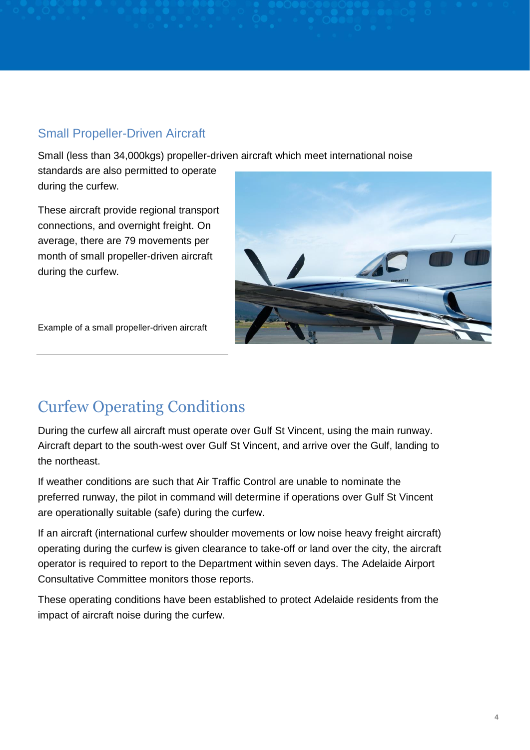#### Small Propeller-Driven Aircraft

Small (less than 34,000kgs) propeller-driven aircraft which meet international noise

standards are also permitted to operate during the curfew.

These aircraft provide regional transport connections, and overnight freight. On average, there are 79 movements per month of small propeller-driven aircraft during the curfew.



Example of a small propeller-driven aircraft

## Curfew Operating Conditions

During the curfew all aircraft must operate over Gulf St Vincent, using the main runway. Aircraft depart to the south-west over Gulf St Vincent, and arrive over the Gulf, landing to the northeast.

If weather conditions are such that Air Traffic Control are unable to nominate the preferred runway, the pilot in command will determine if operations over Gulf St Vincent are operationally suitable (safe) during the curfew.

If an aircraft (international curfew shoulder movements or low noise heavy freight aircraft) operating during the curfew is given clearance to take-off or land over the city, the aircraft operator is required to report to the Department within seven days. The Adelaide Airport Consultative Committee monitors those reports.

These operating conditions have been established to protect Adelaide residents from the impact of aircraft noise during the curfew.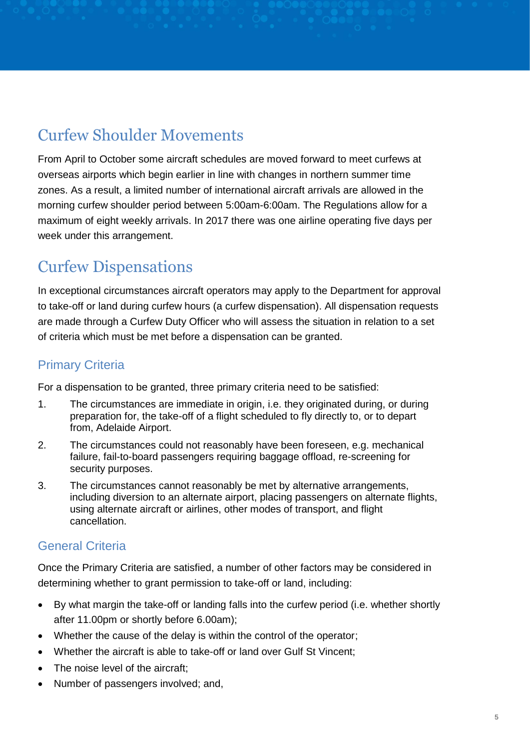## Curfew Shoulder Movements

From April to October some aircraft schedules are moved forward to meet curfews at overseas airports which begin earlier in line with changes in northern summer time zones. As a result, a limited number of international aircraft arrivals are allowed in the morning curfew shoulder period between 5:00am-6:00am. The Regulations allow for a maximum of eight weekly arrivals. In 2017 there was one airline operating five days per week under this arrangement.

### Curfew Dispensations

In exceptional circumstances aircraft operators may apply to the Department for approval to take-off or land during curfew hours (a curfew dispensation). All dispensation requests are made through a Curfew Duty Officer who will assess the situation in relation to a set of criteria which must be met before a dispensation can be granted.

#### Primary Criteria

For a dispensation to be granted, three primary criteria need to be satisfied:

- 1. The circumstances are immediate in origin, i.e. they originated during, or during preparation for, the take-off of a flight scheduled to fly directly to, or to depart from, Adelaide Airport.
- 2. The circumstances could not reasonably have been foreseen, e.g. mechanical failure, fail-to-board passengers requiring baggage offload, re-screening for security purposes.
- 3. The circumstances cannot reasonably be met by alternative arrangements, including diversion to an alternate airport, placing passengers on alternate flights, using alternate aircraft or airlines, other modes of transport, and flight cancellation.

#### General Criteria

Once the Primary Criteria are satisfied, a number of other factors may be considered in determining whether to grant permission to take-off or land, including:

- By what margin the take-off or landing falls into the curfew period (i.e. whether shortly after 11.00pm or shortly before 6.00am);
- Whether the cause of the delay is within the control of the operator;
- Whether the aircraft is able to take-off or land over Gulf St Vincent;
- The noise level of the aircraft:
- Number of passengers involved; and,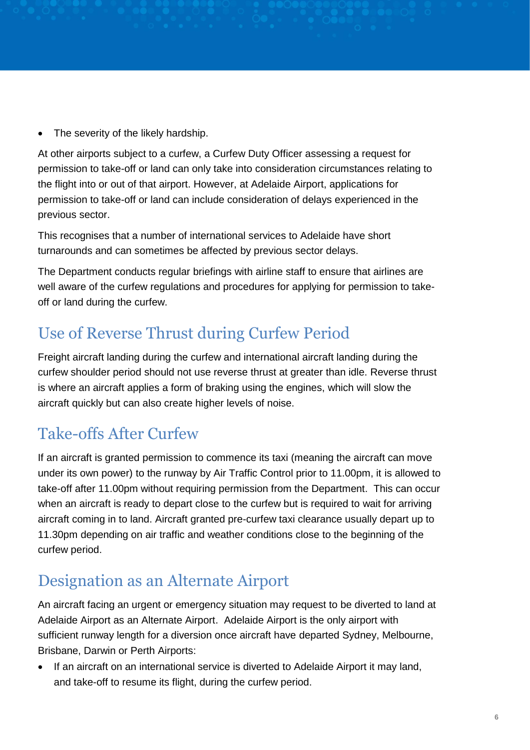• The severity of the likely hardship.

At other airports subject to a curfew, a Curfew Duty Officer assessing a request for permission to take-off or land can only take into consideration circumstances relating to the flight into or out of that airport. However, at Adelaide Airport, applications for permission to take-off or land can include consideration of delays experienced in the previous sector.

This recognises that a number of international services to Adelaide have short turnarounds and can sometimes be affected by previous sector delays.

The Department conducts regular briefings with airline staff to ensure that airlines are well aware of the curfew regulations and procedures for applying for permission to takeoff or land during the curfew.

## Use of Reverse Thrust during Curfew Period

Freight aircraft landing during the curfew and international aircraft landing during the curfew shoulder period should not use reverse thrust at greater than idle. Reverse thrust is where an aircraft applies a form of braking using the engines, which will slow the aircraft quickly but can also create higher levels of noise.

# Take-offs After Curfew

If an aircraft is granted permission to commence its taxi (meaning the aircraft can move under its own power) to the runway by Air Traffic Control prior to 11.00pm, it is allowed to take-off after 11.00pm without requiring permission from the Department. This can occur when an aircraft is ready to depart close to the curfew but is required to wait for arriving aircraft coming in to land. Aircraft granted pre-curfew taxi clearance usually depart up to 11.30pm depending on air traffic and weather conditions close to the beginning of the curfew period.

## Designation as an Alternate Airport

An aircraft facing an urgent or emergency situation may request to be diverted to land at Adelaide Airport as an Alternate Airport. Adelaide Airport is the only airport with sufficient runway length for a diversion once aircraft have departed Sydney, Melbourne, Brisbane, Darwin or Perth Airports:

 If an aircraft on an international service is diverted to Adelaide Airport it may land, and take-off to resume its flight, during the curfew period.